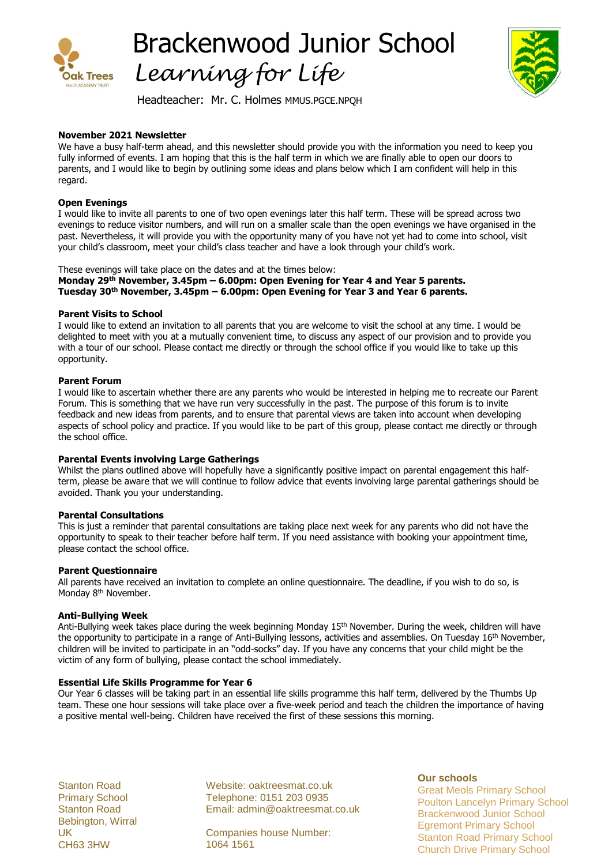

Brackenwood Junior School *Learning for Life*



Headteacher: Mr. C. Holmes MMUS.PGCE.NPQH

## **November 2021 Newsletter**

We have a busy half-term ahead, and this newsletter should provide you with the information you need to keep you fully informed of events. I am hoping that this is the half term in which we are finally able to open our doors to parents, and I would like to begin by outlining some ideas and plans below which I am confident will help in this regard.

### **Open Evenings**

I would like to invite all parents to one of two open evenings later this half term. These will be spread across two evenings to reduce visitor numbers, and will run on a smaller scale than the open evenings we have organised in the past. Nevertheless, it will provide you with the opportunity many of you have not yet had to come into school, visit your child's classroom, meet your child's class teacher and have a look through your child's work.

These evenings will take place on the dates and at the times below: **Monday 29th November, 3.45pm – 6.00pm: Open Evening for Year 4 and Year 5 parents. Tuesday 30th November, 3.45pm – 6.00pm: Open Evening for Year 3 and Year 6 parents.**

### **Parent Visits to School**

I would like to extend an invitation to all parents that you are welcome to visit the school at any time. I would be delighted to meet with you at a mutually convenient time, to discuss any aspect of our provision and to provide you with a tour of our school. Please contact me directly or through the school office if you would like to take up this opportunity.

### **Parent Forum**

I would like to ascertain whether there are any parents who would be interested in helping me to recreate our Parent Forum. This is something that we have run very successfully in the past. The purpose of this forum is to invite feedback and new ideas from parents, and to ensure that parental views are taken into account when developing aspects of school policy and practice. If you would like to be part of this group, please contact me directly or through the school office.

#### **Parental Events involving Large Gatherings**

Whilst the plans outlined above will hopefully have a significantly positive impact on parental engagement this halfterm, please be aware that we will continue to follow advice that events involving large parental gatherings should be avoided. Thank you your understanding.

#### **Parental Consultations**

This is just a reminder that parental consultations are taking place next week for any parents who did not have the opportunity to speak to their teacher before half term. If you need assistance with booking your appointment time, please contact the school office.

#### **Parent Questionnaire**

All parents have received an invitation to complete an online questionnaire. The deadline, if you wish to do so, is Monday 8<sup>th</sup> November.

#### **Anti-Bullying Week**

Anti-Bullying week takes place during the week beginning Monday 15<sup>th</sup> November. During the week, children will have the opportunity to participate in a range of Anti-Bullying lessons, activities and assemblies. On Tuesday 16<sup>th</sup> November, children will be invited to participate in an "odd-socks" day. If you have any concerns that your child might be the victim of any form of bullying, please contact the school immediately.

#### **Essential Life Skills Programme for Year 6**

Our Year 6 classes will be taking part in an essential life skills programme this half term, delivered by the Thumbs Up team. These one hour sessions will take place over a five-week period and teach the children the importance of having a positive mental well-being. Children have received the first of these sessions this morning.

Stanton Road Primary School Stanton Road Bebington, Wirral UK CH63 3HW

Website: oaktreesmat.co.uk Telephone: 0151 203 0935 Email: admin@oaktreesmat.co.uk

Companies house Number: 1064 1561

**Our schools**

Great Meols Primary School Poulton Lancelyn Primary School Brackenwood Junior School Egremont Primary School Stanton Road Primary School Church Drive Primary School